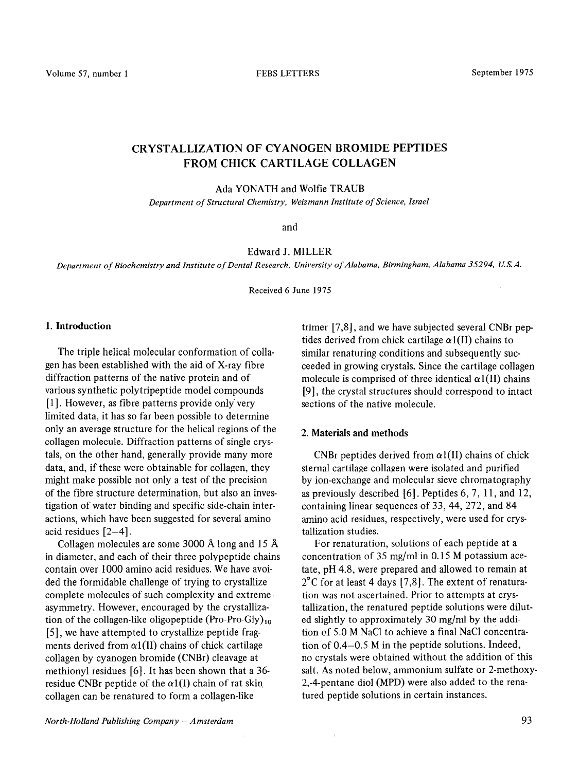# CRYSTALLIZATION OF CYANOGEN BROMIDE PEPTIDES FROM CHICK CARTILAGE COLLAGEN

Ada YONATH and Wolfie TRAUB

*Department of Structural Chemistry, Weizmann Institute of Science, Israel* 

and

Edward J. MILLER

*Department of Biochemistry and Institute of Dental Research, University of Alabama, Birmingham, Alabama 35294, U.S.A.* 

Received 6 June 1975

#### 1. Introduction

The triple helical molecular conformation of collagen has been established with the aid of X-ray fibre diffraction patterns of the native protein and of various synthetic polytripeptide model compounds [1]. However, as fibre patterns provide only very limited data, it has so far been possible to determine only an average structure for the helical regions of the collagen molecule. Diffraction patterns of single crystals, on the other hand, generally provide many more data, and, if these were obtainable for collagen, they might make possible not only a test of the precision of the fibre structure determination, but also an investigation of water binding and specific side-chain interactions, which have been suggested for several amino acid residues  $[2-4]$ .

Collagen molecules are some 3000 Å long and 15 Å in diameter, and each of their three polypeptide chains contain over 1000 amino acid residues. We have avoided the formidable challenge of trying to crystallize complete molecules of such complexity and extreme asymmetry. However, encouraged by the crystallization of the collagen-like oligopeptide (Pro-Pro-Gly)<sub>10</sub> [5], we have attempted to crystallize peptide fragments derived from  $\alpha$ 1(II) chains of chick cartilage collagen by cyanogen bromide (CNBr) cleavage at methionyl residues [6]. It has been shown that a 36 residue CNBr peptide of the  $\alpha$ 1(I) chain of rat skin collagen can be renatured to form a collagen-like

trimer [7,8], and we have subjected several CNBr peptides derived from chick cartilage  $\alpha$ 1(II) chains to similar renaturing conditions and subsequently succeeded in growing crystals. Since the cartilage collagen molecule is comprised of three identical  $\alpha$ 1(II) chains [9], the crystal structures should correspond to intact sections of the native molecule.

## 2. Materials and methods

 $\bar{1}$ 

CNBr peptides derived from  $\alpha$ 1(II) chains of chick sternal cartilage collagen were isolated and purified by ion-exchange and molecular sieve chromatography as previously described [6]. Peptides 6,7, 11, and 12, containing linear sequences of 33,44, 272, and 84 amino acid residues, respectively, were used for crystallization studies.

For renaturation, solutions of each peptide at a concentration of 35 mg/ml in 0.15 M potassium acetate, pH 4.8, were prepared and allowed to remain at  $2^{\circ}$ C for at least 4 days [7,8]. The extent of renaturation was not ascertained. Prior to attempts at crystallization, the renatured peptide solutions were diluted slightly to approximately 30 mg/ml by the addition of 5.0 M NaCl to achieve a final NaCl concentration of 0.4-0.5 M in the peptide solutions. Indeed, no crystals were obtained without the addition of this salt. As noted below, ammonium sulfate or 2-methoxy 2,-4-pentane diol (MPD) were also added to the renatured peptide solutions in certain instances.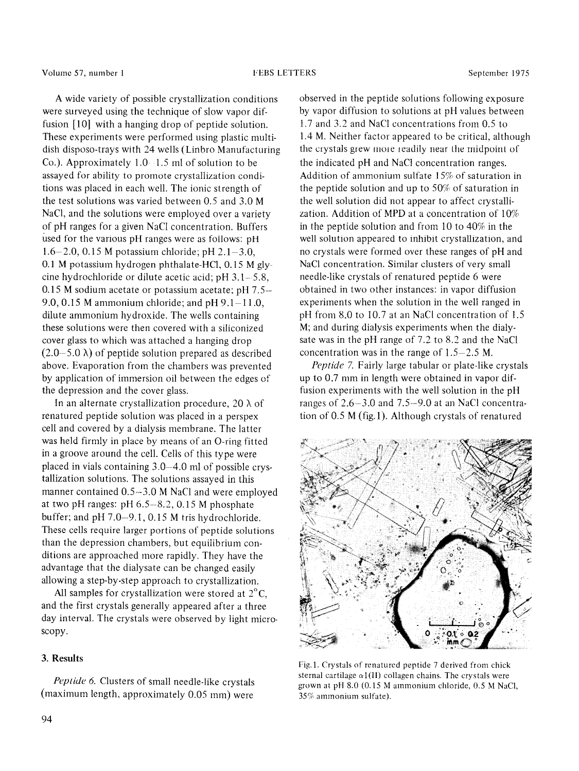## Volume 57, number 1 1975 CHERS LETTERS September 1975

A wide variety of possible crystallization conditions were surveyed using the technique of slow vapor diffusion [10] with a hanging drop of peptide solution. These experiments were performed using plastic multidish disposo-trays with 24 wells (Linbro Manufacturing Co.). Approximately  $1.0 - 1.5$  ml of solution to be assayed for ability to promote crystallization conditions was placed in each well. The ionic strength of the test solutions was varied between 0.5 and 3.0 M NaCl, and the solutions were employed over a variety of pH ranges for a given NaCl concentration. Buffers used for the various pH ranges were as follows: pH 1.6-2.0, 0.15 M potassium chloride; pH 2.1-3.0, 0.1 M potassium hydrogen phthalate-HCl, 0.15 M glycine hydrochloride or dilute acetic acid; pH  $3.1 - 5.8$ , 0.15 M sodium acetate or potassium acetate; pH 7.5- 9.0, 0.15 M ammonium chloride; and  $pH$  9.1-11.0, dilute ammonium hydroxide. The wells containing these solutions were then covered with a siliconized cover glass to which was attached a hanging drop  $(2.0-5.0 \lambda)$  of peptide solution prepared as described above. Evaporation from the chambers was prevented by application of immersion oil between the edges of the depression and the cover glass.

In an alternate crystallization procedure, 20  $\lambda$  of renatured peptide solution was placed in a perspex cell and covered by a dialysis membrane. The latter was held firmly in place by means of an O-ring fitted in a groove around the cell. Cells of this type were placed in vials containing 3.0-4.0 ml of possible crystallization solutions. The solutions assayed in this manner contained 0.5-3.0 M NaCl and were employed at two pH ranges: pH 6.5-8.2, 0.15 M phosphate buffer; and pH 7.0-9.1, 0.15 M tris hydrochloride. These cells require larger portions of peptide solutions than the depression chambers, but equilibrium conditions are approached more rapidly. They have the advantage that the dialysate can be changed easily allowing a step-by-step approach to crystallization.

All samples for crystallization were stored at  $2^{\circ}C$ , and the first crystals generally appeared after a three day interval. The crystals were observed by light microscopy.

## 3. Results

*Peptide 6.* Clusters of small needle-like crystals (maximum length, approximately 0.05 mm) were

observed in the peptide solutions following exposure by vapor diffusion to solutions at pH values between 1.7 and 3.2 and NaCl concentrations from 0.5 to 1.4 M. Neither factor appeared to be critical, although the crystals grew more readily near the midpoint of the indicated pH and NaCl concentration ranges. Addition of ammonium sulfate 15% of saturation in the peptide solution and up to 50% of saturation in the well solution did not appear to affect crystailization. Addition of MPD at a concentration of 10% in the peptide solution and from 10 to 40% in the well solution appeared to inhibit crystallization, and no crystals were formed over these ranges of pH and NaCl concentration. Similar clusters of very small needle-like crystals of renatured peptide 6 were obtained in two other instances: in vapor diffusion experiments when the solution in the well ranged in pH from 8.0 to 10.7 at an NaCl concentration of 1.5 M; and during dialysis experiments when the dialysate was in the pH range of 7.2 to 8.2 and the NaCl concentration was in the range of 1.5-2.5 M.

*Peptide 7.* Fairly large tabular or plate-like crystals up to 0.7 mm in length were obtained in vapor diffusion experiments with the well solution in the pH ranges of 2.6-3.0 and 7.5-9.0 at an NaCl concentration of 0.5 M (fig.1). Although crystals of renatured



Fig. 1. Crystals of renatured peptide 7 derived from chick sternal cartilage  $\alpha$ 1(II) collagen chains. The crystals were grown at pH  $8.0$  (0.15 M ammonium chloride, 0.5 M NaCl, 35% ammonium sulfate).